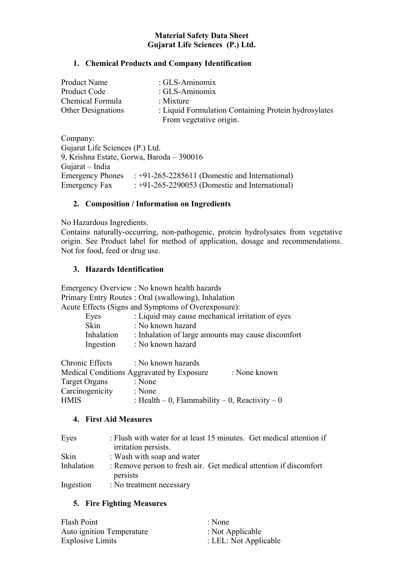### **Material Safety Data Sheet Gujarat Life Sciences (P.) Ltd.**

## **1. Chemical Products and Company Identification**

| <b>Product Name</b>       | : GLS-Aminomix                                       |
|---------------------------|------------------------------------------------------|
| Product Code              | : GLS-Aminomix                                       |
| Chemical Formula          | : Mixture                                            |
| <b>Other Designations</b> | : Liquid Formulation Containing Protein hydrosylates |
|                           | From vegetative origin.                              |

Company: Gujarat Life Sciences (P.) Ltd. 9, Krishna Estate, Gorwa, Baroda – 390016 Gujarat – India Emergency Phones : +91-265-2285611 (Domestic and International) Emergency Fax : +91-265-2290053 (Domestic and International)

## **2. Composition / Information on Ingredients**

No Hazardous Ingredients.

Contains naturally-occurring, non-pathogenic, protein hydrolysates from vegetative origin. See Product label for method of application, dosage and recommendations. Not for food, feed or drug use.

### **3. Hazards Identification**

Emergency Overview : No known health hazards Primary Entry Routes : Oral (swallowing), Inhalation Acute Effects (Signs and Symptoms of Overexposure): Eyes : Liquid may cause mechanical irritation of eyes

|            | и предлага при предлага на селото на селото на селото на принимата на селото на селото на селото на селото на п |
|------------|-----------------------------------------------------------------------------------------------------------------|
| Skin       | : No known hazard                                                                                               |
| Inhalation | : Inhalation of large amounts may cause discomfort                                                              |
| Ingestion  | : No known hazard                                                                                               |

| Chronic Effects | : No known hazards                             |              |
|-----------------|------------------------------------------------|--------------|
|                 | Medical Conditions Aggravated by Exposure      | : None known |
| Target Organs   | : None                                         |              |
| Carcinogenicity | : None                                         |              |
| <b>HMIS</b>     | : Health – 0, Flammability – 0, Reactivity – 0 |              |

# **4. First Aid Measures**

| Eyes       | : Flush with water for at least 15 minutes. Get medical attention if<br>irritation persists. |
|------------|----------------------------------------------------------------------------------------------|
| Skin       | : Wash with soap and water                                                                   |
| Inhalation | : Remove person to fresh air. Get medical attention if discomfort<br>persists                |
| Ingestion  | : No treatment necessary                                                                     |

## **5. Fire Fighting Measures**

| Flash Point                      | : None                |
|----------------------------------|-----------------------|
| <b>Auto ignition Temperature</b> | : Not Applicable      |
| <b>Explosive Limits</b>          | : LEL: Not Applicable |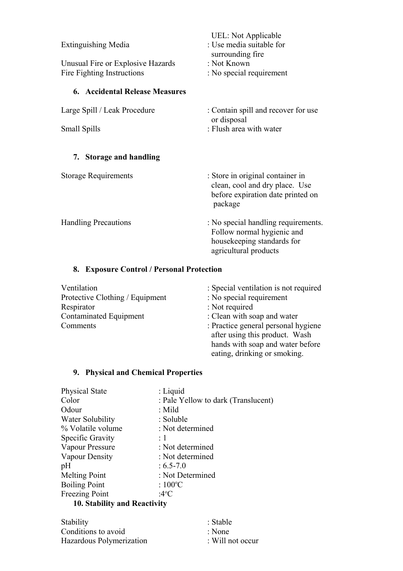| <b>Extinguishing Media</b>                                      | <b>UEL:</b> Not Applicable<br>: Use media suitable for<br>surrounding fire                                               |  |
|-----------------------------------------------------------------|--------------------------------------------------------------------------------------------------------------------------|--|
| Unusual Fire or Explosive Hazards<br>Fire Fighting Instructions | : Not Known<br>: No special requirement                                                                                  |  |
| <b>6. Accidental Release Measures</b>                           |                                                                                                                          |  |
| Large Spill / Leak Procedure                                    | : Contain spill and recover for use<br>or disposal                                                                       |  |
| <b>Small Spills</b>                                             | : Flush area with water                                                                                                  |  |
| <b>Storage and handling</b><br>7.                               |                                                                                                                          |  |
| <b>Storage Requirements</b>                                     | : Store in original container in<br>clean, cool and dry place. Use<br>before expiration date printed on<br>package       |  |
| <b>Handling Precautions</b>                                     | : No special handling requirements.<br>Follow normal hygienic and<br>housekeeping standards for<br>agricultural products |  |

# **8. Exposure Control / Personal Protection**

| Ventilation                     | : Special ventilation is not required                                 |
|---------------------------------|-----------------------------------------------------------------------|
| Protective Clothing / Equipment | : No special requirement                                              |
| Respirator                      | : Not required                                                        |
| <b>Contaminated Equipment</b>   | : Clean with soap and water                                           |
| Comments                        | : Practice general personal hygiene<br>after using this product. Wash |
|                                 | hands with soap and water before                                      |
|                                 | eating, drinking or smoking.                                          |

# **9. Physical and Chemical Properties**

| <b>Physical State</b>                                                                                          | $:$ Liquid                          |
|----------------------------------------------------------------------------------------------------------------|-------------------------------------|
| Color                                                                                                          | : Pale Yellow to dark (Translucent) |
| Odour                                                                                                          | $:$ Mild                            |
| Water Solubility                                                                                               | : Soluble                           |
| % Volatile volume                                                                                              | : Not determined                    |
| Specific Gravity                                                                                               | $\div 1$                            |
| Vapour Pressure                                                                                                | : Not determined                    |
| Vapour Density                                                                                                 | : Not determined                    |
| pH                                                                                                             | $: 6.5 - 7.0$                       |
| <b>Melting Point</b>                                                                                           | : Not Determined                    |
| <b>Boiling Point</b>                                                                                           | : $100^{\circ}$ C                   |
| Freezing Point                                                                                                 | :4°C                                |
| $\mathbf{10}$ $\mathbf{0}$ $\mathbf{11}$ $\mathbf{12}$ $\mathbf{13}$ $\mathbf{13}$ $\mathbf{14}$ $\mathbf{15}$ |                                     |

# **10. Stability and Reactivity**

| Stability                | : Stable                    |
|--------------------------|-----------------------------|
| Conditions to avoid      | : None                      |
| Hazardous Polymerization | $\therefore$ Will not occur |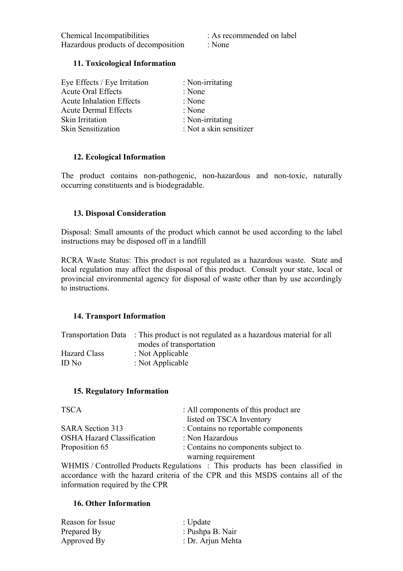| Chemical Incompatibilities          | : As recommended on label |
|-------------------------------------|---------------------------|
| Hazardous products of decomposition | : None                    |

### **11. Toxicological Information**

| Eye Effects / Eye Irritation    | : Non-irritating        |
|---------------------------------|-------------------------|
| <b>Acute Oral Effects</b>       | : None                  |
| <b>Acute Inhalation Effects</b> | : None                  |
| <b>Acute Dermal Effects</b>     | : None                  |
| Skin Irritation                 | : Non-irritating        |
| <b>Skin Sensitization</b>       | : Not a skin sensitizer |

### **12. Ecological Information**

The product contains non-pathogenic, non-hazardous and non-toxic, naturally occurring constituents and is biodegradable.

### **13. Disposal Consideration**

Disposal: Small amounts of the product which cannot be used according to the label instructions may be disposed off in a landfill

RCRA Waste Status: This product is not regulated as a hazardous waste. State and local regulation may affect the disposal of this product. Consult your state, local or provincial environmental agency for disposal of waste other than by use accordingly to instructions.

#### **14. Transport Information**

|              | Transportation Data : This product is not regulated as a hazardous material for all |
|--------------|-------------------------------------------------------------------------------------|
|              | modes of transportation                                                             |
| Hazard Class | : Not Applicable                                                                    |
| ID No        | : Not Applicable                                                                    |

#### **15. Regulatory Information**

| TSCA                              | : All components of this product are |
|-----------------------------------|--------------------------------------|
|                                   | listed on TSCA Inventory             |
| <b>SARA Section 313</b>           | : Contains no reportable components  |
| <b>OSHA Hazard Classification</b> | : Non Hazardous                      |
| Proposition 65                    | : Contains no components subject to  |
|                                   | warning requirement                  |

WHMIS / Controlled Products Regulations : This products has been classified in accordance with the hazard criteria of the CPR and this MSDS contains all of the information required by the CPR

### **16. Other Information**

| Reason for Issue | : Update          |
|------------------|-------------------|
| Prepared By      | : Pushpa B. Nair  |
| Approved By      | : Dr. Arjun Mehta |